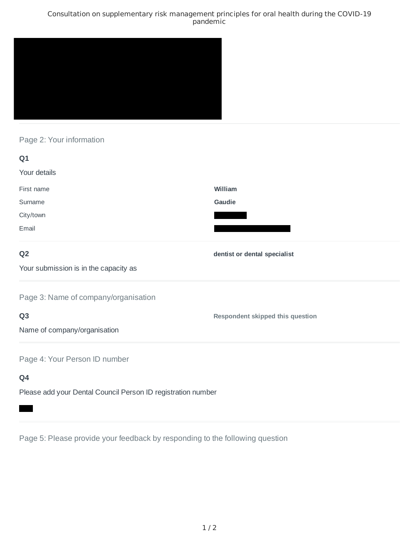### Consultation on supplementary risk management principles for oral health during the COVID-19 pandemic



## Page 2: Your information

| Q1                                                           |                                         |
|--------------------------------------------------------------|-----------------------------------------|
| Your details                                                 |                                         |
| First name                                                   | William                                 |
| Surname                                                      | Gaudie                                  |
| City/town                                                    |                                         |
| Email                                                        |                                         |
| Q <sub>2</sub>                                               | dentist or dental specialist            |
| Your submission is in the capacity as                        |                                         |
| Page 3: Name of company/organisation                         |                                         |
| Q <sub>3</sub>                                               | <b>Respondent skipped this question</b> |
| Name of company/organisation                                 |                                         |
| Page 4: Your Person ID number                                |                                         |
| Q4                                                           |                                         |
| Please add your Dental Council Person ID registration number |                                         |

Page 5: Please provide your feedback by responding to the following question